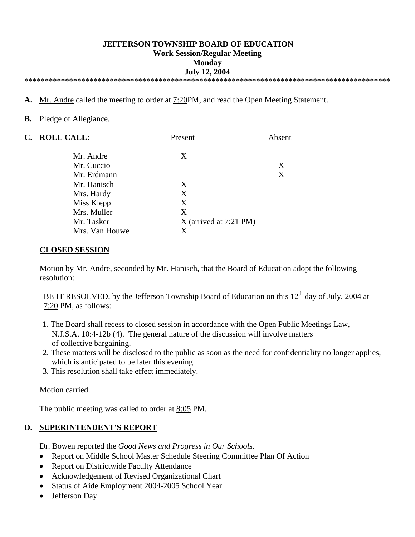#### **JEFFERSON TOWNSHIP BOARD OF EDUCATION Work Session/Regular Meeting Monday July 12, 2004**  \*\*\*\*\*\*\*\*\*\*\*\*\*\*\*\*\*\*\*\*\*\*\*\*\*\*\*\*\*\*\*\*\*\*\*\*\*\*\*\*\*\*\*\*\*\*\*\*\*\*\*\*\*\*\*\*\*\*\*\*\*\*\*\*\*\*\*\*\*\*\*\*\*\*\*\*\*\*\*\*\*\*\*\*\*\*\*\*\*\*

**A.** Mr. Andre called the meeting to order at 7:20PM, and read the Open Meeting Statement.

**B.** Pledge of Allegiance.

| C. ROLL CALL:  | Present                  | Absent |
|----------------|--------------------------|--------|
| Mr. Andre      | X                        |        |
| Mr. Cuccio     |                          | X      |
| Mr. Erdmann    |                          | X      |
| Mr. Hanisch    | X                        |        |
| Mrs. Hardy     | X                        |        |
| Miss Klepp     | X                        |        |
| Mrs. Muller    | X                        |        |
| Mr. Tasker     | $X$ (arrived at 7:21 PM) |        |
| Mrs. Van Houwe | Х                        |        |

#### **CLOSED SESSION**

 Motion by Mr. Andre, seconded by Mr. Hanisch, that the Board of Education adopt the following resolution:

BE IT RESOLVED, by the Jefferson Township Board of Education on this  $12<sup>th</sup>$  day of July, 2004 at 7:20 PM, as follows:

- 1. The Board shall recess to closed session in accordance with the Open Public Meetings Law, N.J.S.A. 10:4-12b (4). The general nature of the discussion will involve matters of collective bargaining.
- 2. These matters will be disclosed to the public as soon as the need for confidentiality no longer applies, which is anticipated to be later this evening.
- 3. This resolution shall take effect immediately.

Motion carried.

The public meeting was called to order at  $8:05$  PM.

#### **D. SUPERINTENDENT'S REPORT**

Dr. Bowen reported the *Good News and Progress in Our Schools*.

- Report on Middle School Master Schedule Steering Committee Plan Of Action
- Report on Districtwide Faculty Attendance
- Acknowledgement of Revised Organizational Chart
- Status of Aide Employment 2004-2005 School Year
- Jefferson Day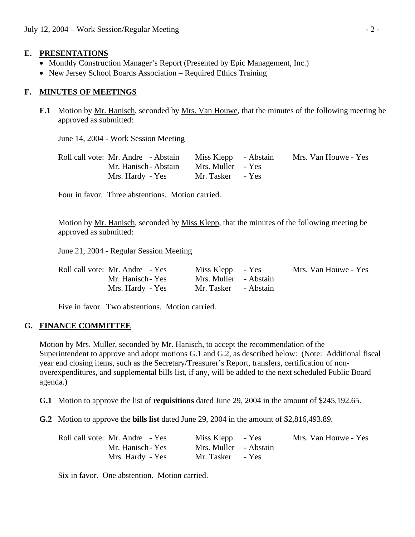### **E. PRESENTATIONS**

- Monthly Construction Manager's Report (Presented by Epic Management, Inc.)
- New Jersey School Boards Association Required Ethics Training

### **F. MINUTES OF MEETINGS**

**F.1** Motion by Mr. Hanisch, seconded by Mrs. Van Houwe, that the minutes of the following meeting be approved as submitted:

June 14, 2004 - Work Session Meeting

| Roll call vote: Mr. Andre - Abstain | Miss Klepp - Abstain | Mrs. Van Houwe - Yes |
|-------------------------------------|----------------------|----------------------|
| Mr. Hanisch - Abstain               | Mrs. Muller - Yes    |                      |
| Mrs. Hardy - Yes                    | Mr. Tasker - Yes     |                      |

Four in favor. Three abstentions. Motion carried.

 Motion by Mr. Hanisch, seconded by Miss Klepp, that the minutes of the following meeting be approved as submitted:

June 21, 2004 - Regular Session Meeting

| Roll call vote: Mr. Andre - Yes | Miss Klepp - Yes      | Mrs. Van Houwe - Yes |
|---------------------------------|-----------------------|----------------------|
| Mr. Hanisch - Yes               | Mrs. Muller - Abstain |                      |
| Mrs. Hardy - Yes                | Mr. Tasker - Abstain  |                      |

Five in favor. Two abstentions. Motion carried.

### **G. FINANCE COMMITTEE**

 Motion by Mrs. Muller, seconded by Mr. Hanisch, to accept the recommendation of the Superintendent to approve and adopt motions G.1 and G.2, as described below: (Note: Additional fiscal year end closing items, such as the Secretary/Treasurer's Report, transfers, certification of nonoverexpenditures, and supplemental bills list, if any, will be added to the next scheduled Public Board agenda.)

 **G.1** Motion to approve the list of **requisitions** dated June 29, 2004 in the amount of \$245,192.65.

**G.2** Motion to approve the **bills list** dated June 29, 2004 in the amount of \$2,816,493.89.

| Roll call vote: Mr. Andre - Yes | Miss Klepp - Yes      | Mrs. Van Houwe - Yes |
|---------------------------------|-----------------------|----------------------|
| Mr. Hanisch - Yes               | Mrs. Muller - Abstain |                      |
| Mrs. Hardy - Yes                | Mr. Tasker - Yes      |                      |

Six in favor. One abstention. Motion carried.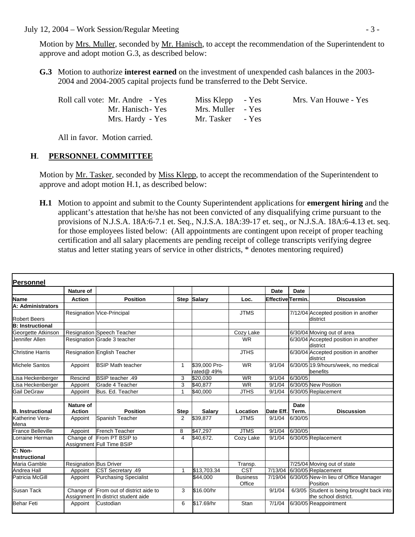### July 12, 2004 – Work Session/Regular Meeting  $-3$  -

Motion by <u>Mrs. Muller</u>, seconded by <u>Mr. Hanisch</u>, to accept the recommendation of the Superintendent to approve and adopt motion G.3, as described below:

 **G.3** Motion to authorize **interest earned** on the investment of unexpended cash balances in the 2003- 2004 and 2004-2005 capital projects fund be transferred to the Debt Service.

| Roll call vote: Mr. Andre - Yes | Miss Klepp - Yes  | Mrs. Van Houwe - Yes |
|---------------------------------|-------------------|----------------------|
| Mr. Hanisch-Yes                 | Mrs. Muller - Yes |                      |
| Mrs. Hardy - Yes                | Mr. Tasker - Yes  |                      |

All in favor. Motion carried.

### **H**. **PERSONNEL COMMITTEE**

Motion by Mr. Tasker, seconded by Miss Klepp, to accept the recommendation of the Superintendent to approve and adopt motion H.1, as described below:

 **H.1** Motion to appoint and submit to the County Superintendent applications for **emergent hiring** and the applicant's attestation that he/she has not been convicted of any disqualifying crime pursuant to the provisions of N.J.S.A. 18A:6-7.1 et. Seq., N.J.S.A. 18A:39-17 et. seq., or N.J.S.A. 18A:6-4.13 et. seq. for those employees listed below: (All appointments are contingent upon receipt of proper teaching certification and all salary placements are pending receipt of college transcripts verifying degree status and letter stating years of service in other districts, \* denotes mentoring required)

| Personnel                       |                               |                                                                               |                |                             |                           |                  |             |                                                                   |
|---------------------------------|-------------------------------|-------------------------------------------------------------------------------|----------------|-----------------------------|---------------------------|------------------|-------------|-------------------------------------------------------------------|
|                                 | Nature of                     |                                                                               |                |                             |                           | <b>Date</b>      | Date        |                                                                   |
| <b>Name</b>                     | <b>Action</b>                 | <b>Position</b>                                                               |                | Step Salary                 | Loc.                      | Effective Termin |             | <b>Discussion</b>                                                 |
| A: Administrators               |                               |                                                                               |                |                             |                           |                  |             |                                                                   |
| <b>Robert Beers</b>             |                               | Resignation Vice-Principal                                                    |                |                             | <b>JTMS</b>               |                  |             | 7/12/04 Accepted position in another<br>district                  |
| <b>B:</b> Instructional         |                               |                                                                               |                |                             |                           |                  |             |                                                                   |
| Georgette Atkinson              |                               | <b>Resignation Speech Teacher</b>                                             |                |                             | Cozy Lake                 |                  |             | 6/30/04 Moving out of area                                        |
| Jennifer Allen                  |                               | Resignation Grade 3 teacher                                                   |                |                             | <b>WR</b>                 |                  |             | 6/30/04 Accepted position in another<br>district                  |
| <b>Christine Harris</b>         |                               | Resignation English Teacher                                                   |                |                             | <b>JTHS</b>               |                  |             | 6/30/04 Accepted position in another<br>district                  |
| Michele Santos                  | Appoint                       | <b>BSIP Math teacher</b>                                                      | $\mathbf{1}$   | \$39,000 Pro-<br>rated@ 49% | <b>WR</b>                 | 9/1/04           |             | 6/30/05 19.9/hours/week, no medical<br>benefits                   |
| isa Heckenberger                | Rescind                       | BSIP teacher .49                                                              | 3              | \$20.030                    | <b>WR</b>                 | 9/1/04           | 6/30/05     |                                                                   |
| Lisa Heckenberger               | Appoint                       | Grade 4 Teacher                                                               | 3              | \$40.877                    | <b>WR</b>                 | 9/1/04           |             | 6/30/05 New Position                                              |
| <b>Gail DeGraw</b>              | Appoint                       | Bus. Ed. Teacher                                                              | 1              | \$40,000                    | <b>JTHS</b>               | 9/1/04           |             | 6/30/05 Replacement                                               |
|                                 |                               |                                                                               |                |                             |                           |                  |             |                                                                   |
|                                 | <b>Nature of</b>              |                                                                               |                |                             |                           |                  | <b>Date</b> |                                                                   |
| <b>B.</b> Instructional         | <b>Action</b>                 | <b>Position</b>                                                               | <b>Step</b>    | <b>Salary</b>               | Location                  | Date Eff.        | Term.       | <b>Discussion</b>                                                 |
| Katherine Vera-<br>Mena         | Appoint                       | Spanish Teacher                                                               | $\overline{2}$ | \$39,877                    | <b>JTMS</b>               | 9/1/04           | 6/30/05     |                                                                   |
| <b>France Belleville</b>        | Appoint                       | <b>French Teacher</b>                                                         | 8              | \$47,297                    | <b>JTMS</b>               | 9/1/04           | 6/30/05     |                                                                   |
| Lorraine Herman                 | Change of                     | From PT BSIP to<br>Assignment Full Time BSIP                                  | $\overline{4}$ | \$40,672.                   | Cozy Lake                 | 9/1/04           |             | 6/30/05 Replacement                                               |
| C: Non-<br><b>Instructional</b> |                               |                                                                               |                |                             |                           |                  |             |                                                                   |
| Maria Gamble                    | <b>Resignation Bus Driver</b> |                                                                               |                |                             | Transp.                   |                  |             | 7/25/04 Moving out of state                                       |
| Andrea Hall                     | Appoint                       | CST Secretary .49                                                             | 1              | \$13,703.34                 | <b>CST</b>                |                  |             | 7/13/04 6/30/05 Replacement                                       |
| Patricia McGill                 | Appoint                       | <b>Purchasing Specialist</b>                                                  |                | \$44,000                    | <b>Business</b><br>Office | 7/19/04          |             | 6/30/05 New-In lieu of Office Manager<br>Position                 |
| <b>Susan Tack</b>               |                               | Change of From out of district aide to<br>Assignment In district student aide | 3              | \$16.00/hr                  |                           | 9/1/04           |             | 6/3/05 Student is being brought back into<br>the school district. |
| <b>Behar Feti</b>               | Appoint                       | Custodian                                                                     | 6              | \$17.69/hr                  | Stan                      | 7/1/04           |             | 6/30/05 Reappointment                                             |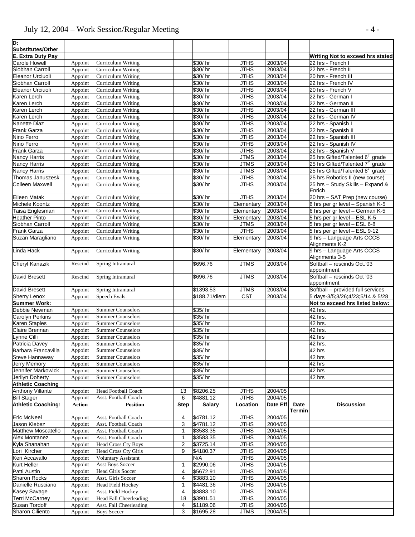# July 12, 2004 – Work Session/Regular Meeting - 4 -

| D:<br>Substitutes/Other                         |                    |                                                      |             |                        |                            |                     |                       |                                                                    |
|-------------------------------------------------|--------------------|------------------------------------------------------|-------------|------------------------|----------------------------|---------------------|-----------------------|--------------------------------------------------------------------|
| <b>E. Extra Duty Pay</b>                        |                    |                                                      |             |                        |                            |                     |                       | Writing Not to exceed hrs stated                                   |
| <b>Carole Howell</b>                            | Appoint            | <b>Curriculum Writing</b>                            |             | \$30/hr                | <b>JTHS</b>                | 2003/04             |                       | 22 hrs - French I                                                  |
| Siobhan Carroll                                 | Appoint            | Curriculum Writing                                   |             | \$30/hr                | <b>JTHS</b>                | 2003/04             |                       | 22 hrs - French II                                                 |
| Eleanor Urciuoli                                | Appoint            | Curriculum Writing                                   |             | \$30/hr                | <b>JTHS</b>                | 2003/04             |                       | 20 hrs - French III                                                |
| Siobhan Carroll                                 | Appoint            | Curriculum Writing                                   |             | \$30/hr                | <b>JTHS</b>                | 2003/04             |                       | 22 hrs - French IV                                                 |
| <b>Eleanor Urciuoli</b>                         | Appoint            | Curriculum Writing                                   |             | \$30/hr                | <b>JTHS</b>                | 2003/04             |                       | 20 hrs - French V                                                  |
| Karen Lerch                                     | Appoint            | Curriculum Writing                                   |             | \$30/hr                | <b>JTHS</b>                | 2003/04             |                       | 22 hrs - German I                                                  |
| Karen Lerch                                     | Appoint            | Curriculum Writing                                   |             | \$30/hr                | <b>JTHS</b>                | 2003/04             |                       | 22 hrs - German II                                                 |
| Karen Lerch                                     | Appoint            | Curriculum Writing                                   |             | \$30/hr                | <b>JTHS</b>                | 2003/04             |                       | 22 hrs - German III                                                |
| Karen Lerch                                     | Appoint            | Curriculum Writing                                   |             | \$30/hr                | <b>JTHS</b>                | 2003/04             |                       | 22 hrs - German IV                                                 |
| Nanette Diaz                                    | Appoint            | Curriculum Writing                                   |             | \$30/hr                | <b>JTHS</b>                | 2003/04             |                       | 22 hrs - Spanish I                                                 |
| Frank Garza<br>Nino Ferro                       | Appoint            | Curriculum Writing<br>Curriculum Writing             |             | \$30/hr<br>\$30/hr     | <b>JTHS</b><br><b>JTHS</b> | 2003/04<br>2003/04  |                       | 22 hrs - Spanish II<br>22 hrs - Spanish III                        |
| Nino Ferro                                      | Appoint<br>Appoint | Curriculum Writing                                   |             | \$30/hr                | <b>JTHS</b>                | 2003/04             |                       | 22 hrs - Spanish IV                                                |
| Frank Garza                                     | Appoint            | Curriculum Writing                                   |             | \$30/hr                | <b>JTHS</b>                | 2003/04             |                       | 22 hrs - Spanish V                                                 |
| Nancy Harris                                    | Appoint            | Curriculum Writing                                   |             | \$30/hr                | <b>JTMS</b>                | 2003/04             |                       | 25 hrs Gifted/Talented 6 <sup>th</sup> grade                       |
| <b>Nancy Harris</b>                             | Appoint            | Curriculum Writing                                   |             | \$30/hr                | <b>JTMS</b>                | 2003/04             |                       | 25 hrs Gifted/Talented 7 <sup>th</sup> grade                       |
| Nancy Harris                                    | Appoint            | Curriculum Writing                                   |             | \$30/hr                | <b>JTMS</b>                | 2003/04             |                       | 25 hrs Gifted/Talented 8 <sup>th</sup> grade                       |
| Thomas Januszesk                                | Appoint            | Curriculum Writing                                   |             | \$30/hr                | <b>JTHS</b>                | 2003/04             |                       | 25 hrs Robotics II (new course)                                    |
| <b>Colleen Maxwell</b>                          | Appoint            | Curriculum Writing                                   |             | \$30/hr                | <b>JTHS</b>                | 2003/04             |                       | 25 hrs - Study Skills - Expand &                                   |
|                                                 |                    |                                                      |             |                        |                            |                     |                       | Enrich                                                             |
| <b>Eileen Matak</b><br>Michele Koontz           | Appoint            | Curriculum Writing                                   |             | \$30/hr                | <b>JTHS</b>                | 2003/04<br>2003/04  |                       | 20 hrs - SAT Prep (new course)<br>6 hrs per gr level - Spanish K-5 |
| Taisa Englesman                                 | Appoint<br>Appoint | Curriculum Writing<br>Curriculum Writing             |             | \$30/hr<br>\$30/hr     | Elementary<br>Elementary   | 2003/04             |                       | 6 hrs per gr level - German K-5                                    |
| <b>Heather Pinto</b>                            | Appoint            | Curriculum Writing                                   |             | \$30/hr                | Elementary                 | 2003/04             |                       | 5 hrs per gr level - ESL K-5                                       |
| Siobhan Carroll                                 | Appoint            | Curriculum Writing                                   |             | \$30/hr                | <b>JTMS</b>                | 2003/04             |                       | 5 hrs per gr level - ESL 6-8                                       |
| <b>Frank Garza</b>                              | Appoint            | Curriculum Writing                                   |             | \$30/hr                | <b>JTHS</b>                | 2003/04             |                       | 5 hrs per gr level - ESL 9-12                                      |
| Suzan Maragliano                                | Appoint            | Curriculum Writing                                   |             | \$30/hr                | Elementary                 | 2003/04             |                       | 9 hrs - Language Arts CCCS                                         |
|                                                 |                    |                                                      |             |                        |                            |                     |                       | Alignments K-2                                                     |
| Linda Hack                                      | Appoint            | <b>Curriculum Writing</b>                            |             | \$30/hr                | Elementary                 | 2003/04             |                       | 9 hrs - Language Arts CCCS<br>Alignments 3-5                       |
| <b>Cheryl Kanazik</b>                           | Rescind            | Spring Intramural                                    |             | \$696.76               | <b>JTMS</b>                | 2003/04             |                       | Softball - rescinds Oct.'03<br>appointment                         |
| David Bresett                                   | Rescind            | Spring Intramural                                    |             | \$696.76               | <b>JTMS</b>                | 2003/04             |                       | Softball - rescinds Oct '03<br>appointment                         |
| David Bresett                                   | Appoint            | Spring Intramural                                    |             | \$1393.53              | <b>JTMS</b>                | 2003/04             |                       | Softball - provided full services                                  |
| <b>Sherry Lenox</b>                             | Appoint            | Speech Evals.                                        |             | \$188.71/diem          | <b>CST</b>                 | 2003/04             |                       | 5 days-3/5;3/26;4/23;5/14 & 5/28                                   |
| <b>Summer Work:</b>                             |                    |                                                      |             |                        |                            |                     |                       | Not to exceed hrs listed below:                                    |
| Debbie Newman                                   | Appoint            | <b>Summer Counselors</b>                             |             | \$35/hr                |                            |                     |                       | $\overline{42}$ hrs.                                               |
| Carolyn Perkins<br>Karen Staples                | Appoint            | <b>Summer Counselors</b><br><b>Summer Counselors</b> |             | \$35/hr<br>\$35/hr     |                            |                     |                       | 42 hrs.<br>42 hrs.                                                 |
| Claire Brennan                                  | Appoint<br>Appoint | <b>Summer Counselors</b>                             |             | \$35/hr                |                            |                     |                       | 42 hrs.                                                            |
| vnne Cilli                                      | Appoint            | <b>Summer Counselors</b>                             |             | \$35/hr                |                            |                     |                       | 42 hrs                                                             |
| Patricia Davey                                  | Appoint            | <b>Summer Counselors</b>                             |             | \$35/hr                |                            |                     |                       | 42 hrs.                                                            |
| Barbara Francavilla                             | Appoint            | <b>Summer Counselors</b>                             |             | \$35/hr                |                            |                     |                       | $\overline{42}$ hrs                                                |
| Steve Hannaway                                  | Appoint            | <b>Summer Counselors</b>                             |             | \$35/hr                |                            |                     |                       | 42 hrs                                                             |
| <b>Jerry Memory</b>                             | Appoint            | <b>Summer Counselors</b>                             |             | \$35/hr                |                            |                     |                       | $\overline{42}$ hrs                                                |
| Jennifer Markowick<br>Jerilyn Doherty           | Appoint            | <b>Summer Counselors</b>                             |             | \$35/hr                |                            |                     |                       | 42 hrs                                                             |
|                                                 | Appoint            | <b>Summer Counselors</b>                             |             | \$35/hr                |                            |                     |                       | 42 hrs                                                             |
| <b>Athletic Coaching</b>                        |                    |                                                      |             |                        |                            |                     |                       |                                                                    |
| <b>Anthony Villante</b>                         | Appoint            | <b>Head Football Coach</b>                           | 13          | \$8206.25              | <b>JTHS</b>                | 2004/05             |                       |                                                                    |
| <b>Bill Stager</b><br><b>Athletic Coaching:</b> | Appoint            | Asst. Football Coach                                 | 6           | \$4881.12<br>Salary    | <b>JTHS</b>                | 2004/05<br>Date Eff |                       |                                                                    |
|                                                 | <b>Action</b>      | <b>Position</b>                                      | <b>Step</b> |                        | Location                   |                     | Date<br><b>Termin</b> | <b>Discussion</b>                                                  |
| <b>Eric McNeel</b>                              | Appoint            | Asst. Football Coach                                 | 4           | \$4781.12              | <b>JTHS</b>                | 2004/05             |                       |                                                                    |
| Jason Klebez                                    | Appoint            | Asst. Football Coach                                 | 3           | \$4781.12              | <b>JTHS</b>                | 2004/05             |                       |                                                                    |
| Matthew Moscatello                              | Appoint            | Asst. Football Coach                                 | 1           | \$3583.35              | <b>JTHS</b>                | 2004/05             |                       |                                                                    |
| <b>Alex Montanez</b>                            | Appoint            | Asst. Football Coach                                 | 1           | \$3583.35              | <b>JTHS</b>                | 2004/05             |                       |                                                                    |
| Kyla Shanahan                                   | Appoint            | <b>Head Cross Cty Boys</b>                           | 2           | \$3725.14              | <b>JTHS</b>                | 2004/05             |                       |                                                                    |
| ori Kircher                                     | Appoint            | <b>Head Cross Cty Girls</b>                          | 9           | \$4180.37              | <b>JTHS</b>                | 2004/05             |                       |                                                                    |
| Keri Accavallo                                  | Appoint            | <b>Voluntary Assistant</b>                           |             | N/A                    | <b>JTHS</b>                | 2004/05             |                       |                                                                    |
| Kurt Heller<br>Patti Austin                     | Appoint            | <b>Asst Boys Soccer</b><br><b>Head Girls Soccer</b>  | 1<br>4      | \$2990.06<br>\$5672.91 | <b>JTHS</b><br><b>JTHS</b> | 2004/05<br>2004/05  |                       |                                                                    |
| <b>Sharon Rocks</b>                             | Appoint<br>Appoint | Asst. Girls Soccer                                   | 4           | \$3883.10              | <b>JTHS</b>                | 2004/05             |                       |                                                                    |
| Danielle Rusciano                               | Appoint            | Head Field Hockey                                    | 1           | \$4481.36              | <b>JTHS</b>                | 2004/05             |                       |                                                                    |
| <b>Kasey Savage</b>                             |                    |                                                      | 4           | \$3883.10              | <b>JTHS</b>                | 2004/05             |                       |                                                                    |
|                                                 |                    |                                                      |             |                        |                            |                     |                       |                                                                    |
| Terri McCarney                                  | Appoint<br>Appoint | Asst. Field Hockey<br><b>Head Fall Cheerleading</b>  | 18          | \$3901.51              | <b>JTHS</b>                | 2004/05             |                       |                                                                    |
| Susan Tordoff<br>Sharon Ciliento                | Appoint            | <b>Asst. Fall Cheerleading</b>                       | 4           | \$1189.06<br>\$1695.28 | <b>JTHS</b><br><b>JTMS</b> | 2004/05<br>2004/05  |                       |                                                                    |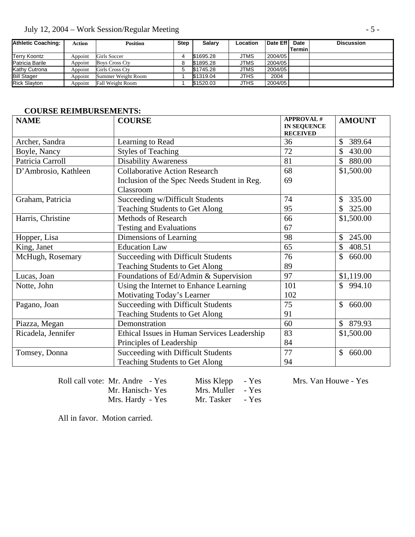|  | July 12, 2004 – Work Session/Regular Meeting |  |  |
|--|----------------------------------------------|--|--|
|  |                                              |  |  |

| <b>Athletic Coaching:</b> | <b>Action</b> | <b>Position</b>       | <b>Step</b> | <b>Salarv</b> | Location    | Date Eff | Date   | <b>Discussion</b> |
|---------------------------|---------------|-----------------------|-------------|---------------|-------------|----------|--------|-------------------|
|                           |               |                       |             |               |             |          | Termin |                   |
| <b>Terry Koontz</b>       | Appoint       | Girls Soccer          |             | \$1695.28     | JTMS        | 2004/05  |        |                   |
| Patricia Barile           | Appoint       | <b>Boys Cross Ctv</b> |             | \$1895.28     | <b>JTMS</b> | 2004/05  |        |                   |
| Kathy Cutrona             | Appoint       | Girls Cross Cty       |             | \$1745.28     | JTMS        | 2004/05  |        |                   |
| <b>Bill Stager</b>        | Appoint       | Summer Weight Room    |             | \$1319.04     | <b>JTHS</b> | 2004     |        |                   |
| <b>Rick Slavton</b>       | Appoint       | Fall Weight Room      |             | \$1520.03     | <b>JTHS</b> | 2004/05  |        |                   |

### **COURSE REIMBURSEMENTS:**

| <b>NAME</b>          | <b>COURSE</b>                               | <b>APPROVAL#</b><br><b>IN SEQUENCE</b><br><b>RECEIVED</b> | <b>AMOUNT</b>            |
|----------------------|---------------------------------------------|-----------------------------------------------------------|--------------------------|
| Archer, Sandra       | Learning to Read                            | 36                                                        | \$<br>389.64             |
| Boyle, Nancy         | <b>Styles of Teaching</b>                   | 72                                                        | \$<br>430.00             |
| Patricia Carroll     | <b>Disability Awareness</b>                 | 81                                                        | $\mathbb{S}$<br>880.00   |
| D'Ambrosio, Kathleen | <b>Collaborative Action Research</b>        | 68                                                        | \$1,500.00               |
|                      | Inclusion of the Spec Needs Student in Reg. | 69                                                        |                          |
|                      | Classroom                                   |                                                           |                          |
| Graham, Patricia     | Succeeding w/Difficult Students             | 74                                                        | 335.00<br>$\mathbb{S}$   |
|                      | <b>Teaching Students to Get Along</b>       | 95                                                        | 325.00                   |
| Harris, Christine    | <b>Methods of Research</b>                  | 66                                                        | \$1,500.00               |
|                      | <b>Testing and Evaluations</b>              | 67                                                        |                          |
| Hopper, Lisa         | Dimensions of Learning                      | 98                                                        | \$<br>245.00             |
| King, Janet          | <b>Education Law</b>                        | 65                                                        | \$<br>408.51             |
| McHugh, Rosemary     | Succeeding with Difficult Students          | 76                                                        | $\mathbb{S}^-$<br>660.00 |
|                      | Teaching Students to Get Along              | 89                                                        |                          |
| Lucas, Joan          | Foundations of Ed/Admin & Supervision       | 97                                                        | \$1,119.00               |
| Notte, John          | Using the Internet to Enhance Learning      | 101                                                       | \$994.10                 |
|                      | Motivating Today's Learner                  | 102                                                       |                          |
| Pagano, Joan         | Succeeding with Difficult Students          | 75                                                        | 660.00<br>\$             |
|                      | Teaching Students to Get Along              | 91                                                        |                          |
| Piazza, Megan        | Demonstration                               | 60                                                        | $\mathbb{S}$<br>879.93   |
| Ricadela, Jennifer   | Ethical Issues in Human Services Leadership | 83                                                        | \$1,500.00               |
|                      | Principles of Leadership                    | 84                                                        |                          |
| Tomsey, Donna        | <b>Succeeding with Difficult Students</b>   | 77                                                        | $\mathbb{S}^-$<br>660.00 |
|                      | <b>Teaching Students to Get Along</b>       | 94                                                        |                          |

Roll call vote: Mr. Andre - Yes Miss Klepp - Yes Mrs. Van Houwe - Yes Mr. Hanisch- Yes Mrs. Muller - Yes Mrs. Hardy - Yes Mr. Tasker

Mr. Hanisch-Yes Mrs. Muller - Yes<br>Mrs. Hardy - Yes Mr. Tasker - Yes

All in favor. Motion carried.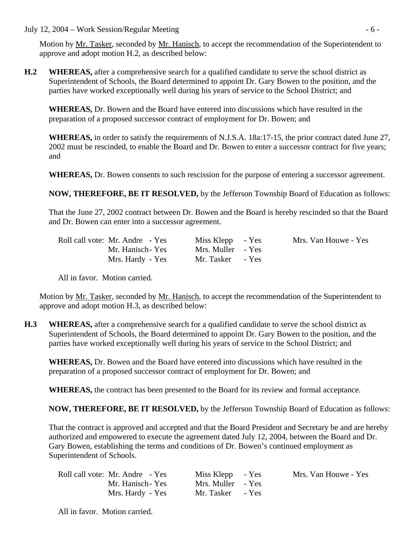July 12, 2004 – Work Session/Regular Meeting - 6 -

Motion by Mr. Tasker, seconded by Mr. Hanisch, to accept the recommendation of the Superintendent to approve and adopt motion H.2, as described below:

**H.2 WHEREAS,** after a comprehensive search for a qualified candidate to serve the school district as Superintendent of Schools, the Board determined to appoint Dr. Gary Bowen to the position, and the parties have worked exceptionally well during his years of service to the School District; and

**WHEREAS,** Dr. Bowen and the Board have entered into discussions which have resulted in the preparation of a proposed successor contract of employment for Dr. Bowen; and

**WHEREAS,** in order to satisfy the requirements of N.J.S.A. 18a:17-15, the prior contract dated June 27, 2002 must be rescinded, to enable the Board and Dr. Bowen to enter a successor contract for five years; and

 **WHEREAS,** Dr. Bowen consents to such rescission for the purpose of entering a successor agreement.

 **NOW, THEREFORE, BE IT RESOLVED,** by the Jefferson Township Board of Education as follows:

That the June 27, 2002 contract between Dr. Bowen and the Board is hereby rescinded so that the Board and Dr. Bowen can enter into a successor agreement.

| Roll call vote: Mr. Andre - Yes | Miss Klepp - Yes  | Mrs. Van Houwe - Yes |
|---------------------------------|-------------------|----------------------|
| Mr. Hanisch - Yes               | Mrs. Muller - Yes |                      |
| Mrs. Hardy - Yes                | Mr. Tasker - Yes  |                      |

All in favor. Motion carried.

Motion by Mr. Tasker, seconded by Mr. Hanisch, to accept the recommendation of the Superintendent to approve and adopt motion H.3, as described below:

**H.3 WHEREAS,** after a comprehensive search for a qualified candidate to serve the school district as Superintendent of Schools, the Board determined to appoint Dr. Gary Bowen to the position, and the parties have worked exceptionally well during his years of service to the School District; and

**WHEREAS,** Dr. Bowen and the Board have entered into discussions which have resulted in the preparation of a proposed successor contract of employment for Dr. Bowen; and

**WHEREAS,** the contract has been presented to the Board for its review and formal acceptance.

 **NOW, THEREFORE, BE IT RESOLVED,** by the Jefferson Township Board of Education as follows:

That the contract is approved and accepted and that the Board President and Secretary be and are hereby authorized and empowered to execute the agreement dated July 12, 2004, between the Board and Dr. Gary Bowen, establishing the terms and conditions of Dr. Bowen's continued employment as Superintendent of Schools.

| Roll call vote: Mr. Andre - Yes | Miss Klepp - Yes  | Mrs. Van Houwe - Yes |
|---------------------------------|-------------------|----------------------|
| Mr. Hanisch - Yes               | Mrs. Muller - Yes |                      |
| Mrs. Hardy - Yes                | Mr. Tasker - Yes  |                      |

All in favor. Motion carried.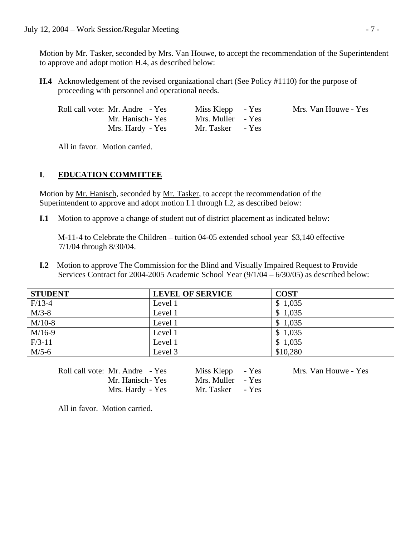Motion by Mr. Tasker, seconded by Mrs. Van Houwe, to accept the recommendation of the Superintendent to approve and adopt motion H.4, as described below:

 **H.4** Acknowledgement of the revised organizational chart (See Policy #1110) for the purpose of proceeding with personnel and operational needs.

| Roll call vote: Mr. Andre - Yes | Miss Klepp - Yes  | Mrs. Van Houwe - Yes |
|---------------------------------|-------------------|----------------------|
| Mr. Hanisch-Yes                 | Mrs. Muller - Yes |                      |
| Mrs. Hardy - Yes                | Mr. Tasker - Yes  |                      |

All in favor. Motion carried.

### **I**. **EDUCATION COMMITTEE**

Motion by <u>Mr. Hanisch</u>, seconded by <u>Mr. Tasker</u>, to accept the recommendation of the Superintendent to approve and adopt motion I.1 through I.2, as described below:

**I.1** Motion to approve a change of student out of district placement as indicated below:

 M-11-4 to Celebrate the Children – tuition 04-05 extended school year \$3,140 effective 7/1/04 through 8/30/04.

**I.2** Motion to approve The Commission for the Blind and Visually Impaired Request to Provide Services Contract for 2004-2005 Academic School Year (9/1/04 – 6/30/05) as described below:

| <b>STUDENT</b> | <b>LEVEL OF SERVICE</b> | <b>COST</b> |
|----------------|-------------------------|-------------|
| $F/13-4$       | Level 1                 | \$1,035     |
| $M/3-8$        | Level 1                 | \$1,035     |
| $M/10-8$       | Level 1                 | \$1,035     |
| $M/16-9$       | Level 1                 | \$1,035     |
| $F/3-11$       | Level 1                 | \$1,035     |
| $M/5-6$        | Level 3                 | \$10,280    |

Roll call vote: Mr. Andre - Yes Miss Klepp - Yes Mrs. Van Houwe - Yes

Mr. Hanisch-Yes Mrs. Muller - Yes Mrs. Hardy - Yes Mr. Tasker - Yes

All in favor. Motion carried.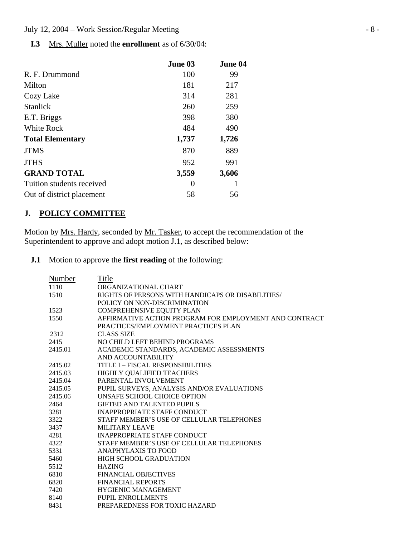**I.3** Mrs. Muller noted the **enrollment** as of 6/30/04:

|                           | June 03  | June 04 |
|---------------------------|----------|---------|
| R. F. Drummond            | 100      | 99      |
| Milton                    | 181      | 217     |
| Cozy Lake                 | 314      | 281     |
| <b>Stanlick</b>           | 260      | 259     |
| E.T. Briggs               | 398      | 380     |
| White Rock                | 484      | 490     |
| <b>Total Elementary</b>   | 1,737    | 1,726   |
| <b>JTMS</b>               | 870      | 889     |
| <b>JTHS</b>               | 952      | 991     |
| <b>GRAND TOTAL</b>        | 3,559    | 3,606   |
| Tuition students received | $\theta$ |         |
| Out of district placement | 58       | 56      |

### **J. POLICY COMMITTEE**

Motion by <u>Mrs. Hardy</u>, seconded by <u>Mr. Tasker</u>, to accept the recommendation of the Superintendent to approve and adopt motion J.1, as described below:

**J.1** Motion to approve the **first reading** of the following:

| Number  | Title                                                  |
|---------|--------------------------------------------------------|
| 1110    | ORGANIZATIONAL CHART                                   |
| 1510    | RIGHTS OF PERSONS WITH HANDICAPS OR DISABILITIES/      |
|         | POLICY ON NON-DISCRIMINATION                           |
| 1523    | COMPREHENSIVE EQUITY PLAN                              |
| 1550    | AFFIRMATIVE ACTION PROGRAM FOR EMPLOYMENT AND CONTRACT |
|         | PRACTICES/EMPLOYMENT PRACTICES PLAN                    |
| 2312    | <b>CLASS SIZE</b>                                      |
| 2415    | NO CHILD LEFT BEHIND PROGRAMS                          |
| 2415.01 | ACADEMIC STANDARDS, ACADEMIC ASSESSMENTS               |
|         | AND ACCOUNTABILITY                                     |
| 2415.02 | <b>TITLE I - FISCAL RESPONSIBILITIES</b>               |
| 2415.03 | HIGHLY QUALIFIED TEACHERS                              |
| 2415.04 | PARENTAL INVOLVEMENT                                   |
| 2415.05 | PUPIL SURVEYS, ANALYSIS AND/OR EVALUATIONS             |
| 2415.06 | UNSAFE SCHOOL CHOICE OPTION                            |
| 2464    | <b>GIFTED AND TALENTED PUPILS</b>                      |
| 3281    | <b>INAPPROPRIATE STAFF CONDUCT</b>                     |
| 3322    | STAFF MEMBER'S USE OF CELLULAR TELEPHONES              |
| 3437    | <b>MILITARY LEAVE</b>                                  |
| 4281    | <b>INAPPROPRIATE STAFF CONDUCT</b>                     |
| 4322    | STAFF MEMBER'S USE OF CELLULAR TELEPHONES              |
| 5331    | <b>ANAPHYLAXIS TO FOOD</b>                             |
| 5460    | HIGH SCHOOL GRADUATION                                 |
| 5512    | <b>HAZING</b>                                          |
| 6810    | <b>FINANCIAL OBJECTIVES</b>                            |
| 6820    | <b>FINANCIAL REPORTS</b>                               |
| 7420    | <b>HYGIENIC MANAGEMENT</b>                             |
| 8140    | PUPIL ENROLLMENTS                                      |
| 8431    | PREPAREDNESS FOR TOXIC HAZARD                          |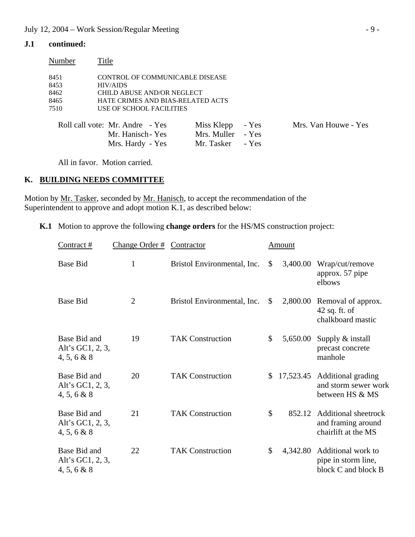### **J.1 continued:**

| Number | Title                             |             |       |                      |
|--------|-----------------------------------|-------------|-------|----------------------|
| 8451   | CONTROL OF COMMUNICABLE DISEASE   |             |       |                      |
| 8453   | <b>HIV/AIDS</b>                   |             |       |                      |
| 8462   | CHILD ABUSE AND/OR NEGLECT        |             |       |                      |
| 8465   | HATE CRIMES AND BIAS-RELATED ACTS |             |       |                      |
| 7510   | USE OF SCHOOL FACILITIES          |             |       |                      |
|        | Roll call vote: Mr. Andre - Yes   | Miss Klepp  | - Yes | Mrs. Van Houwe - Yes |
|        | Mr. Hanisch - Yes                 | Mrs. Muller | - Yes |                      |

All in favor. Motion carried.

### **K. BUILDING NEEDS COMMITTEE**

Motion by Mr. Tasker, seconded by Mr. Hanisch, to accept the recommendation of the Superintendent to approve and adopt motion K.1, as described below:

**K.1** Motion to approve the following **change orders** for the HS/MS construction project:

Mrs. Hardy - Yes Mr. Tasker - Yes

| Contract#                                          | Change Order $#$ | Contractor                  |               | Amount    |                                                                          |
|----------------------------------------------------|------------------|-----------------------------|---------------|-----------|--------------------------------------------------------------------------|
| <b>Base Bid</b>                                    | 1                | Bristol Environmental, Inc. | \$            | 3,400.00  | Wrap/cut/remove<br>approx. 57 pipe<br>elbows                             |
| <b>Base Bid</b>                                    | $\overline{2}$   | Bristol Environmental, Inc. | \$            | 2,800.00  | Removal of approx.<br>$42$ sq. ft. of<br>chalkboard mastic               |
| Base Bid and<br>Alt's GC1, 2, 3,<br>4, 5, 6 & 8    | 19               | <b>TAK Construction</b>     | $\mathcal{S}$ | 5,650.00  | Supply $&$ install<br>precast concrete<br>manhole                        |
| Base Bid and<br>Alt's GC1, 2, 3,<br>$4, 5, 6 \& 8$ | 20               | <b>TAK Construction</b>     |               | 17,523.45 | Additional grading<br>and storm sewer work<br>between HS & MS            |
| Base Bid and<br>Alt's GC1, $2, 3$ ,<br>4, 5, 6 & 8 | 21               | <b>TAK Construction</b>     | $\mathcal{S}$ | 852.12    | <b>Additional sheetrock</b><br>and framing around<br>chairlift at the MS |
| Base Bid and<br>Alt's GC1, 2, 3,<br>4, 5, 6 & 8    | 22               | <b>TAK Construction</b>     | \$            | 4,342.80  | Additional work to<br>pipe in storm line,<br>block C and block B         |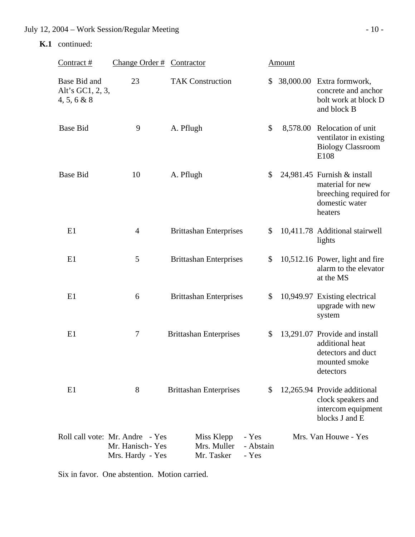### **K.1** continued:

| Contract $#$                                    | Change Order # Contractor                                              |                                         |                             | <b>Amount</b> |                                                                                                        |
|-------------------------------------------------|------------------------------------------------------------------------|-----------------------------------------|-----------------------------|---------------|--------------------------------------------------------------------------------------------------------|
| Base Bid and<br>Alt's GC1, 2, 3,<br>4, 5, 6 & 8 | 23                                                                     | <b>TAK Construction</b>                 | \$                          |               | 38,000.00 Extra formwork,<br>concrete and anchor<br>bolt work at block D<br>and block B                |
| <b>Base Bid</b>                                 | 9                                                                      | A. Pflugh                               | \$                          |               | 8,578.00 Relocation of unit<br>ventilator in existing<br><b>Biology Classroom</b><br>E108              |
| <b>Base Bid</b>                                 | 10                                                                     | A. Pflugh                               | \$                          |               | 24,981.45 Furnish & install<br>material for new<br>breeching required for<br>domestic water<br>heaters |
| E1                                              | $\overline{4}$                                                         | <b>Brittashan Enterprises</b>           | \$                          |               | 10,411.78 Additional stairwell<br>lights                                                               |
| E1                                              | 5                                                                      | <b>Brittashan Enterprises</b>           | \$                          |               | 10,512.16 Power, light and fire<br>alarm to the elevator<br>at the MS                                  |
| E1                                              | 6                                                                      | <b>Brittashan Enterprises</b>           | \$                          |               | 10,949.97 Existing electrical<br>upgrade with new<br>system                                            |
| E1                                              | $\tau$                                                                 | <b>Brittashan Enterprises</b>           | \$                          |               | 13,291.07 Provide and install<br>additional heat<br>detectors and duct<br>mounted smoke<br>detectors   |
| E1                                              | 8                                                                      | <b>Brittashan Enterprises</b>           | \$                          |               | 12,265.94 Provide additional<br>clock speakers and<br>intercom equipment<br>blocks J and E             |
|                                                 | Roll call vote: Mr. Andre - Yes<br>Mr. Hanisch-Yes<br>Mrs. Hardy - Yes | Miss Klepp<br>Mrs. Muller<br>Mr. Tasker | - Yes<br>- Abstain<br>- Yes |               | Mrs. Van Houwe - Yes                                                                                   |

Six in favor. One abstention. Motion carried.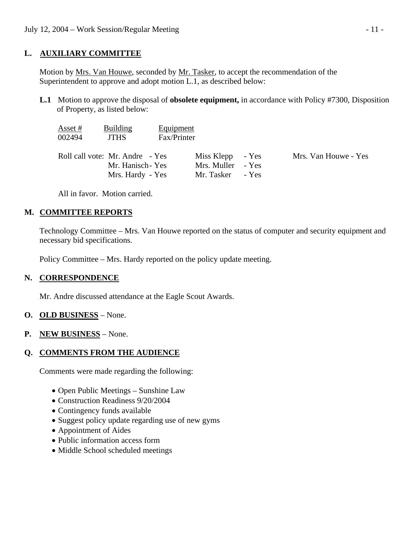## **L. AUXILIARY COMMITTEE**

 Motion by Mrs. Van Houwe, seconded by Mr. Tasker, to accept the recommendation of the Superintendent to approve and adopt motion L.1, as described below:

 **L.1** Motion to approve the disposal of **obsolete equipment,** in accordance with Policy #7300, Disposition of Property, as listed below:

| Asset #<br>002494 | <b>Building</b><br><b>JTHS</b>                       | Equipment<br>Fax/Printer |                                       |                      |
|-------------------|------------------------------------------------------|--------------------------|---------------------------------------|----------------------|
|                   | Roll call vote: Mr. Andre - Yes<br>Mr. Hanisch - Yes |                          | Miss Klepp - Yes<br>Mrs. Muller - Yes | Mrs. Van Houwe - Yes |
|                   | Mrs. Hardy - Yes                                     |                          | Mr. Tasker - Yes                      |                      |

All in favor. Motion carried.

# **M. COMMITTEE REPORTS**

 Technology Committee – Mrs. Van Houwe reported on the status of computer and security equipment and necessary bid specifications.

Policy Committee – Mrs. Hardy reported on the policy update meeting.

### **N. CORRESPONDENCE**

Mr. Andre discussed attendance at the Eagle Scout Awards.

### **O. OLD BUSINESS** – None.

**P. NEW BUSINESS** – None.

# **Q. COMMENTS FROM THE AUDIENCE**

Comments were made regarding the following:

- Open Public Meetings Sunshine Law
- Construction Readiness 9/20/2004
- Contingency funds available
- Suggest policy update regarding use of new gyms
- Appointment of Aides
- Public information access form
- Middle School scheduled meetings